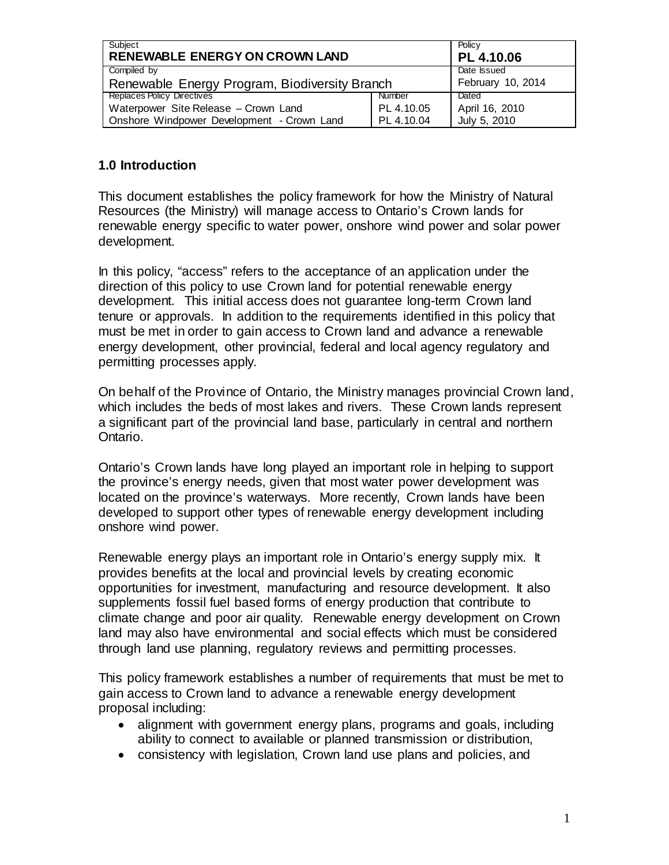| Subiect<br><b>RENEWABLE ENERGY ON CROWN LAND</b> |            | Policy<br>PL 4.10.06 |
|--------------------------------------------------|------------|----------------------|
| Compiled by                                      |            | Date Issued          |
| Renewable Energy Program, Biodiversity Branch    |            | February 10, 2014    |
| <b>Replaces Policy Directives</b>                | Number     | Dated                |
| Waterpower Site Release - Crown Land             | PL 4.10.05 | April 16, 2010       |
| Onshore Windpower Development - Crown Land       | PL 4.10.04 | July 5, 2010         |

### **1.0 Introduction**

This document establishes the policy framework for how the Ministry of Natural Resources (the Ministry) will manage access to Ontario's Crown lands for renewable energy specific to water power, onshore wind power and solar power development.

In this policy, "access" refers to the acceptance of an application under the direction of this policy to use Crown land for potential renewable energy development. This initial access does not guarantee long-term Crown land tenure or approvals. In addition to the requirements identified in this policy that must be met in order to gain access to Crown land and advance a renewable energy development, other provincial, federal and local agency regulatory and permitting processes apply.

On behalf of the Province of Ontario, the Ministry manages provincial Crown land, which includes the beds of most lakes and rivers. These Crown lands represent a significant part of the provincial land base, particularly in central and northern Ontario.

Ontario's Crown lands have long played an important role in helping to support the province's energy needs, given that most water power development was located on the province's waterways. More recently, Crown lands have been developed to support other types of renewable energy development including onshore wind power.

Renewable energy plays an important role in Ontario's energy supply mix. It provides benefits at the local and provincial levels by creating economic opportunities for investment, manufacturing and resource development. It also supplements fossil fuel based forms of energy production that contribute to climate change and poor air quality. Renewable energy development on Crown land may also have environmental and social effects which must be considered through land use planning, regulatory reviews and permitting processes.

This policy framework establishes a number of requirements that must be met to gain access to Crown land to advance a renewable energy development proposal including:

- alignment with government energy plans, programs and goals, including ability to connect to available or planned transmission or distribution,
- consistency with legislation, Crown land use plans and policies, and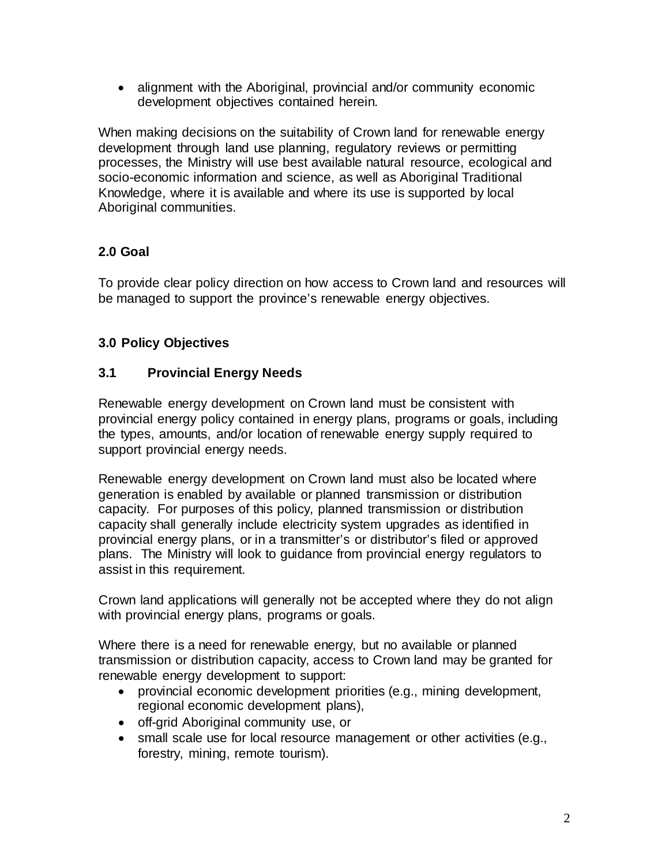• alignment with the Aboriginal, provincial and/or community economic development objectives contained herein.

When making decisions on the suitability of Crown land for renewable energy development through land use planning, regulatory reviews or permitting processes, the Ministry will use best available natural resource, ecological and socio-economic information and science, as well as Aboriginal Traditional Knowledge, where it is available and where its use is supported by local Aboriginal communities.

# **2.0 Goal**

To provide clear policy direction on how access to Crown land and resources will be managed to support the province's renewable energy objectives.

## **3.0 Policy Objectives**

## **3.1 Provincial Energy Needs**

Renewable energy development on Crown land must be consistent with provincial energy policy contained in energy plans, programs or goals, including the types, amounts, and/or location of renewable energy supply required to support provincial energy needs.

Renewable energy development on Crown land must also be located where generation is enabled by available or planned transmission or distribution capacity. For purposes of this policy, planned transmission or distribution capacity shall generally include electricity system upgrades as identified in provincial energy plans, or in a transmitter's or distributor's filed or approved plans. The Ministry will look to guidance from provincial energy regulators to assist in this requirement.

Crown land applications will generally not be accepted where they do not align with provincial energy plans, programs or goals.

Where there is a need for renewable energy, but no available or planned transmission or distribution capacity, access to Crown land may be granted for renewable energy development to support:

- provincial economic development priorities (e.g., mining development, regional economic development plans),
- off-grid Aboriginal community use, or
- small scale use for local resource management or other activities (e.g., forestry, mining, remote tourism).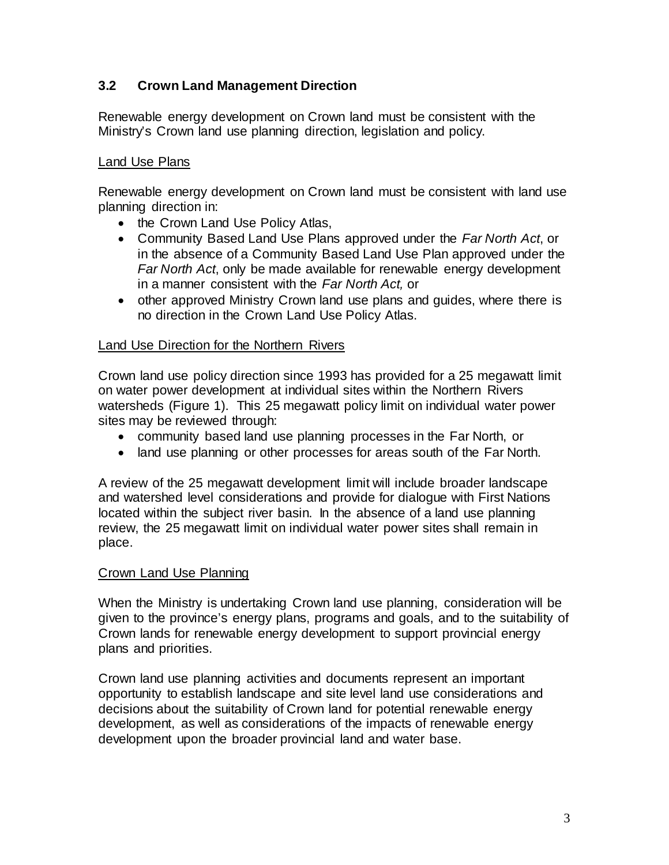## **3.2 Crown Land Management Direction**

Renewable energy development on Crown land must be consistent with the Ministry's Crown land use planning direction, legislation and policy.

#### **Land Use Plans**

Renewable energy development on Crown land must be consistent with land use planning direction in:

- the Crown Land Use Policy Atlas,
- Community Based Land Use Plans approved under the *Far North Act*, or in the absence of a Community Based Land Use Plan approved under the *Far North Act*, only be made available for renewable energy development in a manner consistent with the *Far North Act,* or
- other approved Ministry Crown land use plans and guides, where there is no direction in the Crown Land Use Policy Atlas.

#### Land Use Direction for the Northern Rivers

Crown land use policy direction since 1993 has provided for a 25 megawatt limit on water power development at individual sites within the Northern Rivers watersheds (Figure 1). This 25 megawatt policy limit on individual water power sites may be reviewed through:

- community based land use planning processes in the Far North, or
- land use planning or other processes for areas south of the Far North.

A review of the 25 megawatt development limit will include broader landscape and watershed level considerations and provide for dialogue with First Nations located within the subject river basin. In the absence of a land use planning review, the 25 megawatt limit on individual water power sites shall remain in place.

#### Crown Land Use Planning

When the Ministry is undertaking Crown land use planning, consideration will be given to the province's energy plans, programs and goals, and to the suitability of Crown lands for renewable energy development to support provincial energy plans and priorities.

Crown land use planning activities and documents represent an important opportunity to establish landscape and site level land use considerations and decisions about the suitability of Crown land for potential renewable energy development, as well as considerations of the impacts of renewable energy development upon the broader provincial land and water base.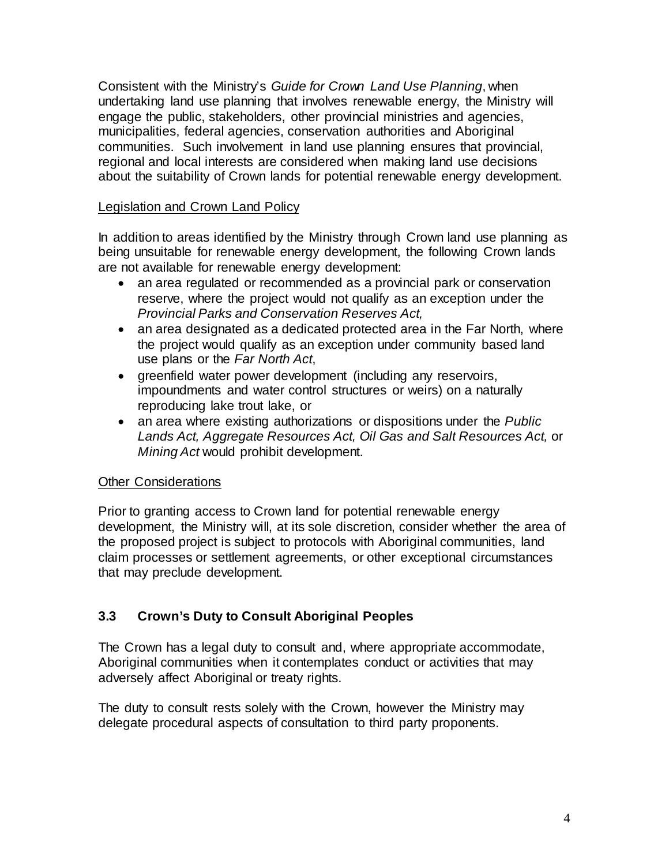Consistent with the Ministry's *Guide for Crown Land Use Planning*, when undertaking land use planning that involves renewable energy, the Ministry will engage the public, stakeholders, other provincial ministries and agencies, municipalities, federal agencies, conservation authorities and Aboriginal communities. Such involvement in land use planning ensures that provincial, regional and local interests are considered when making land use decisions about the suitability of Crown lands for potential renewable energy development.

### Legislation and Crown Land Policy

In addition to areas identified by the Ministry through Crown land use planning as being unsuitable for renewable energy development, the following Crown lands are not available for renewable energy development:

- an area regulated or recommended as a provincial park or conservation reserve, where the project would not qualify as an exception under the *Provincial Parks and Conservation Reserves Act,*
- an area designated as a dedicated protected area in the Far North, where the project would qualify as an exception under community based land use plans or the *Far North Act*,
- greenfield water power development (including any reservoirs, impoundments and water control structures or weirs) on a naturally reproducing lake trout lake, or
- an area where existing authorizations or dispositions under the *Public Lands Act, Aggregate Resources Act, Oil Gas and Salt Resources Act,* or *Mining Act* would prohibit development.

## Other Considerations

Prior to granting access to Crown land for potential renewable energy development, the Ministry will, at its sole discretion, consider whether the area of the proposed project is subject to protocols with Aboriginal communities, land claim processes or settlement agreements, or other exceptional circumstances that may preclude development.

## **3.3 Crown's Duty to Consult Aboriginal Peoples**

The Crown has a legal duty to consult and, where appropriate accommodate, Aboriginal communities when it contemplates conduct or activities that may adversely affect Aboriginal or treaty rights.

The duty to consult rests solely with the Crown, however the Ministry may delegate procedural aspects of consultation to third party proponents.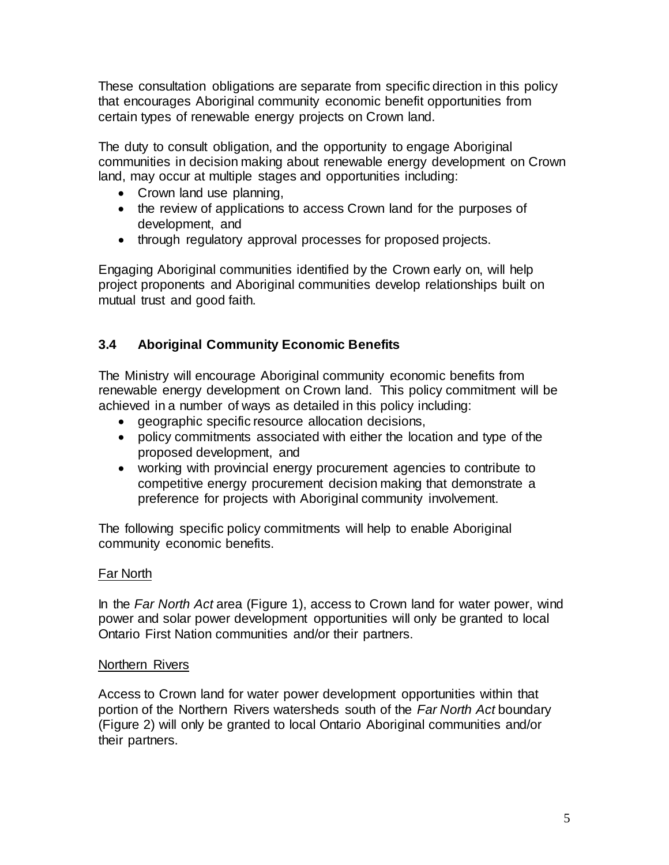These consultation obligations are separate from specific direction in this policy that encourages Aboriginal community economic benefit opportunities from certain types of renewable energy projects on Crown land.

The duty to consult obligation, and the opportunity to engage Aboriginal communities in decision making about renewable energy development on Crown land, may occur at multiple stages and opportunities including:

- Crown land use planning,
- the review of applications to access Crown land for the purposes of development, and
- through regulatory approval processes for proposed projects.

Engaging Aboriginal communities identified by the Crown early on, will help project proponents and Aboriginal communities develop relationships built on mutual trust and good faith.

## **3.4 Aboriginal Community Economic Benefits**

The Ministry will encourage Aboriginal community economic benefits from renewable energy development on Crown land. This policy commitment will be achieved in a number of ways as detailed in this policy including:

- geographic specific resource allocation decisions,
- policy commitments associated with either the location and type of the proposed development, and
- working with provincial energy procurement agencies to contribute to competitive energy procurement decision making that demonstrate a preference for projects with Aboriginal community involvement.

The following specific policy commitments will help to enable Aboriginal community economic benefits.

## Far North

In the *Far North Act* area (Figure 1), access to Crown land for water power, wind power and solar power development opportunities will only be granted to local Ontario First Nation communities and/or their partners.

#### Northern Rivers

Access to Crown land for water power development opportunities within that portion of the Northern Rivers watersheds south of the *Far North Act* boundary (Figure 2) will only be granted to local Ontario Aboriginal communities and/or their partners.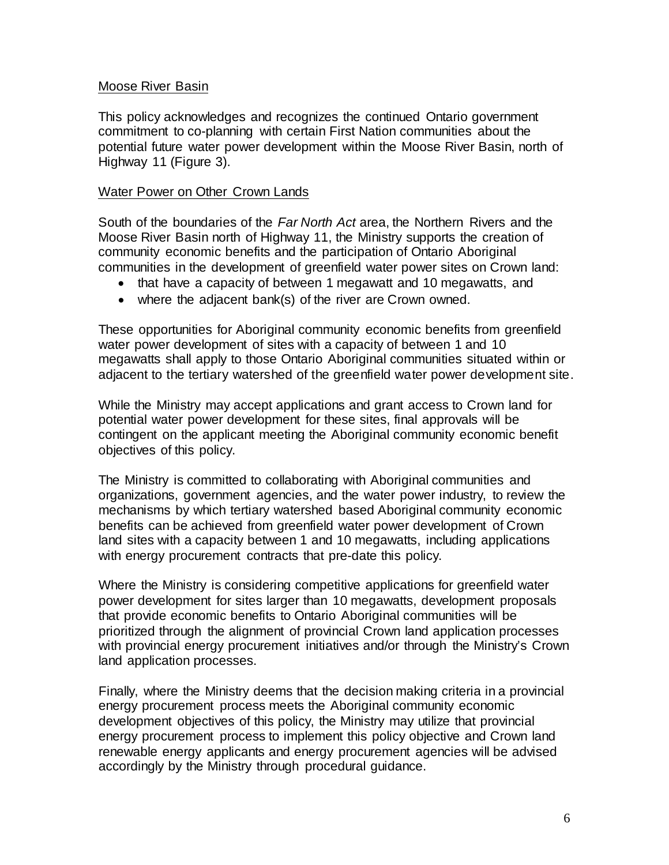#### Moose River Basin

This policy acknowledges and recognizes the continued Ontario government commitment to co-planning with certain First Nation communities about the potential future water power development within the Moose River Basin, north of Highway 11 (Figure 3).

#### Water Power on Other Crown Lands

South of the boundaries of the *Far North Act* area, the Northern Rivers and the Moose River Basin north of Highway 11, the Ministry supports the creation of community economic benefits and the participation of Ontario Aboriginal communities in the development of greenfield water power sites on Crown land:

- that have a capacity of between 1 megawatt and 10 megawatts, and
- where the adjacent bank(s) of the river are Crown owned.

These opportunities for Aboriginal community economic benefits from greenfield water power development of sites with a capacity of between 1 and 10 megawatts shall apply to those Ontario Aboriginal communities situated within or adjacent to the tertiary watershed of the greenfield water power development site.

While the Ministry may accept applications and grant access to Crown land for potential water power development for these sites, final approvals will be contingent on the applicant meeting the Aboriginal community economic benefit objectives of this policy.

The Ministry is committed to collaborating with Aboriginal communities and organizations, government agencies, and the water power industry, to review the mechanisms by which tertiary watershed based Aboriginal community economic benefits can be achieved from greenfield water power development of Crown land sites with a capacity between 1 and 10 megawatts, including applications with energy procurement contracts that pre-date this policy.

Where the Ministry is considering competitive applications for greenfield water power development for sites larger than 10 megawatts, development proposals that provide economic benefits to Ontario Aboriginal communities will be prioritized through the alignment of provincial Crown land application processes with provincial energy procurement initiatives and/or through the Ministry's Crown land application processes.

Finally, where the Ministry deems that the decision making criteria in a provincial energy procurement process meets the Aboriginal community economic development objectives of this policy, the Ministry may utilize that provincial energy procurement process to implement this policy objective and Crown land renewable energy applicants and energy procurement agencies will be advised accordingly by the Ministry through procedural guidance.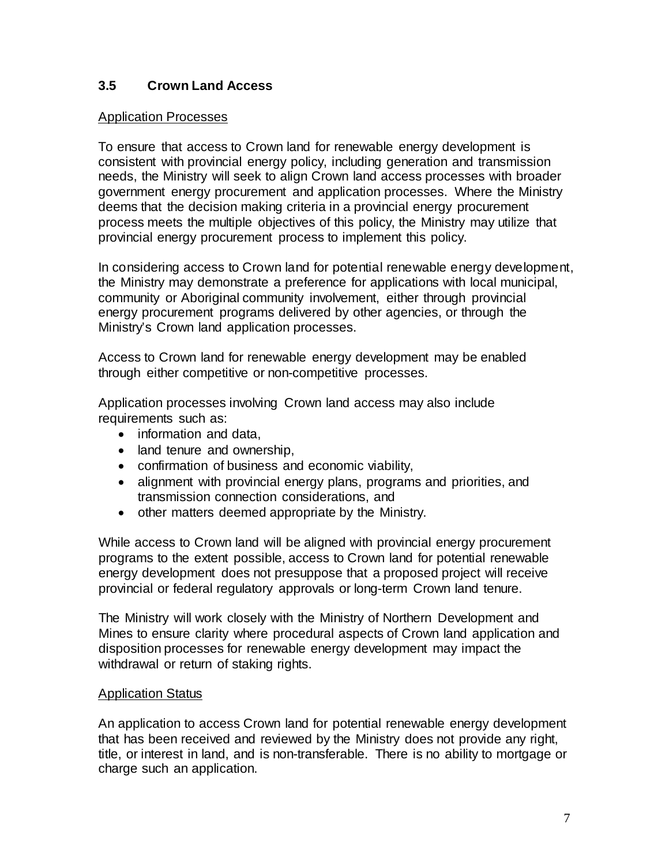## **3.5 Crown Land Access**

#### Application Processes

To ensure that access to Crown land for renewable energy development is consistent with provincial energy policy, including generation and transmission needs, the Ministry will seek to align Crown land access processes with broader government energy procurement and application processes. Where the Ministry deems that the decision making criteria in a provincial energy procurement process meets the multiple objectives of this policy, the Ministry may utilize that provincial energy procurement process to implement this policy.

In considering access to Crown land for potential renewable energy development, the Ministry may demonstrate a preference for applications with local municipal, community or Aboriginal community involvement, either through provincial energy procurement programs delivered by other agencies, or through the Ministry's Crown land application processes.

Access to Crown land for renewable energy development may be enabled through either competitive or non-competitive processes.

Application processes involving Crown land access may also include requirements such as:

- information and data,
- land tenure and ownership,
- confirmation of business and economic viability,
- alignment with provincial energy plans, programs and priorities, and transmission connection considerations, and
- other matters deemed appropriate by the Ministry.

While access to Crown land will be aligned with provincial energy procurement programs to the extent possible, access to Crown land for potential renewable energy development does not presuppose that a proposed project will receive provincial or federal regulatory approvals or long-term Crown land tenure.

The Ministry will work closely with the Ministry of Northern Development and Mines to ensure clarity where procedural aspects of Crown land application and disposition processes for renewable energy development may impact the withdrawal or return of staking rights.

#### Application Status

An application to access Crown land for potential renewable energy development that has been received and reviewed by the Ministry does not provide any right, title, or interest in land, and is non-transferable. There is no ability to mortgage or charge such an application.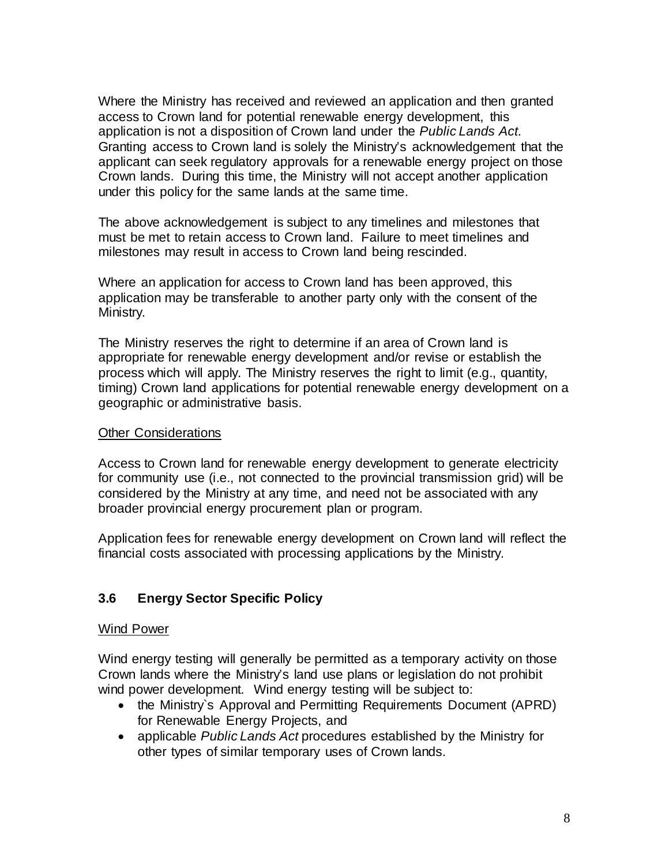Where the Ministry has received and reviewed an application and then granted access to Crown land for potential renewable energy development, this application is not a disposition of Crown land under the *Public Lands Act*. Granting access to Crown land is solely the Ministry's acknowledgement that the applicant can seek regulatory approvals for a renewable energy project on those Crown lands. During this time, the Ministry will not accept another application under this policy for the same lands at the same time.

The above acknowledgement is subject to any timelines and milestones that must be met to retain access to Crown land. Failure to meet timelines and milestones may result in access to Crown land being rescinded.

Where an application for access to Crown land has been approved, this application may be transferable to another party only with the consent of the Ministry.

The Ministry reserves the right to determine if an area of Crown land is appropriate for renewable energy development and/or revise or establish the process which will apply. The Ministry reserves the right to limit (e.g., quantity, timing) Crown land applications for potential renewable energy development on a geographic or administrative basis.

#### Other Considerations

Access to Crown land for renewable energy development to generate electricity for community use (i.e., not connected to the provincial transmission grid) will be considered by the Ministry at any time, and need not be associated with any broader provincial energy procurement plan or program.

Application fees for renewable energy development on Crown land will reflect the financial costs associated with processing applications by the Ministry.

## **3.6 Energy Sector Specific Policy**

#### Wind Power

Wind energy testing will generally be permitted as a temporary activity on those Crown lands where the Ministry's land use plans or legislation do not prohibit wind power development. Wind energy testing will be subject to:

- the Ministry's Approval and Permitting Requirements Document (APRD) for Renewable Energy Projects, and
- applicable *Public Lands Act* procedures established by the Ministry for other types of similar temporary uses of Crown lands.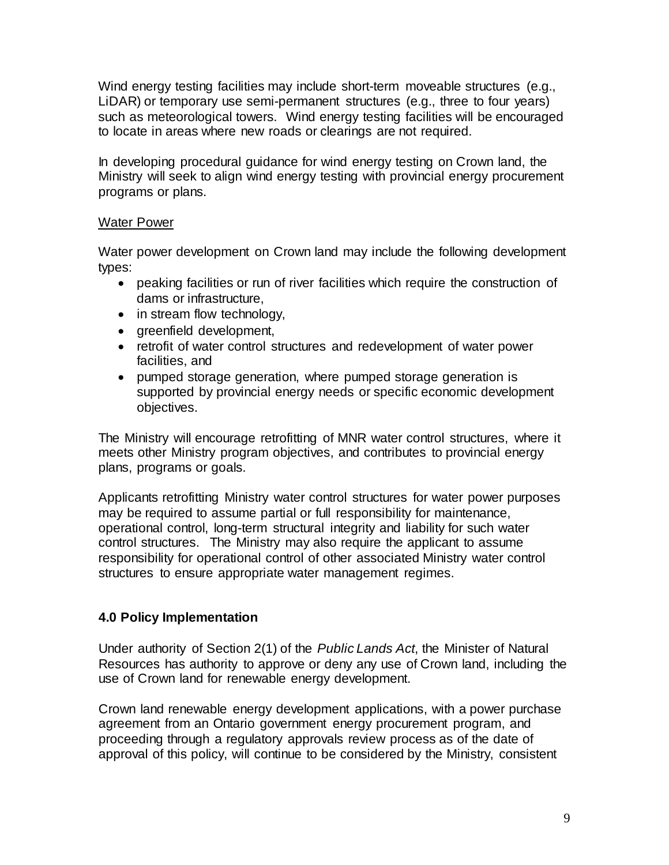Wind energy testing facilities may include short-term moveable structures (e.g., LiDAR) or temporary use semi-permanent structures (e.g., three to four years) such as meteorological towers. Wind energy testing facilities will be encouraged to locate in areas where new roads or clearings are not required.

In developing procedural guidance for wind energy testing on Crown land, the Ministry will seek to align wind energy testing with provincial energy procurement programs or plans.

#### Water Power

Water power development on Crown land may include the following development types:

- peaking facilities or run of river facilities which require the construction of dams or infrastructure,
- in stream flow technology,
- greenfield development,
- retrofit of water control structures and redevelopment of water power facilities, and
- pumped storage generation, where pumped storage generation is supported by provincial energy needs or specific economic development objectives.

The Ministry will encourage retrofitting of MNR water control structures, where it meets other Ministry program objectives, and contributes to provincial energy plans, programs or goals.

Applicants retrofitting Ministry water control structures for water power purposes may be required to assume partial or full responsibility for maintenance, operational control, long-term structural integrity and liability for such water control structures. The Ministry may also require the applicant to assume responsibility for operational control of other associated Ministry water control structures to ensure appropriate water management regimes.

## **4.0 Policy Implementation**

Under authority of Section 2(1) of the *Public Lands Act*, the Minister of Natural Resources has authority to approve or deny any use of Crown land, including the use of Crown land for renewable energy development.

Crown land renewable energy development applications, with a power purchase agreement from an Ontario government energy procurement program, and proceeding through a regulatory approvals review process as of the date of approval of this policy, will continue to be considered by the Ministry, consistent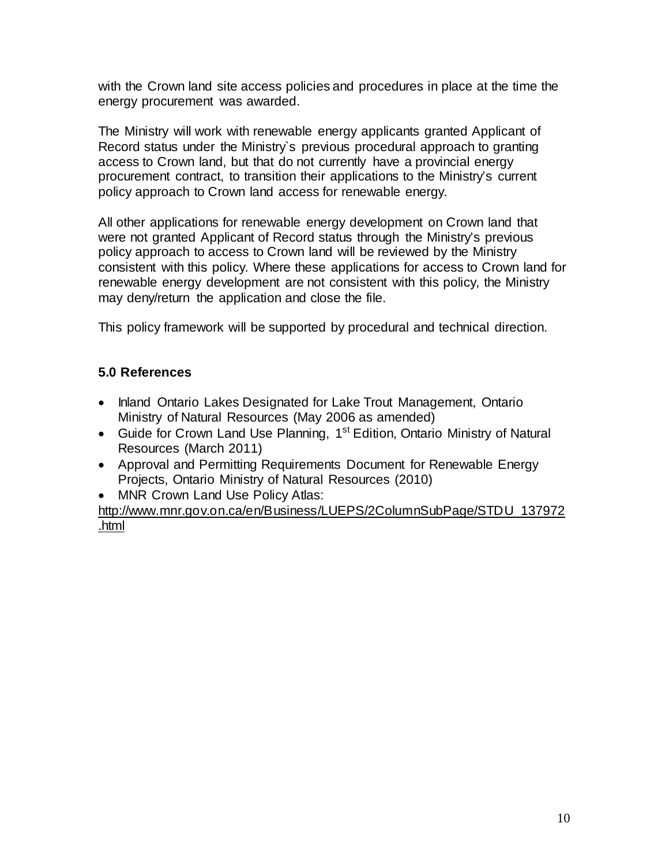with the Crown land site access policies and procedures in place at the time the energy procurement was awarded.

The Ministry will work with renewable energy applicants granted Applicant of Record status under the Ministry`s previous procedural approach to granting access to Crown land, but that do not currently have a provincial energy procurement contract, to transition their applications to the Ministry's current policy approach to Crown land access for renewable energy.

All other applications for renewable energy development on Crown land that were not granted Applicant of Record status through the Ministry's previous policy approach to access to Crown land will be reviewed by the Ministry consistent with this policy. Where these applications for access to Crown land for renewable energy development are not consistent with this policy, the Ministry may deny/return the application and close the file.

This policy framework will be supported by procedural and technical direction.

## **5.0 References**

- Inland Ontario Lakes Designated for Lake Trout Management, Ontario Ministry of Natural Resources (May 2006 as amended)
- Guide for Crown Land Use Planning, 1<sup>st</sup> Edition, Ontario Ministry of Natural Resources (March 2011)
- Approval and Permitting Requirements Document for Renewable Energy Projects, Ontario Ministry of Natural Resources (2010)
- MNR Crown Land Use Policy Atlas:

[http://www.mnr.gov.on.ca/en/Business/LUEPS/2ColumnSubPage/STDU\\_137972](http://www.mnr.gov.on.ca/en/Business/LUEPS/2ColumnSubPage/STDU_137972.html) [.html](http://www.mnr.gov.on.ca/en/Business/LUEPS/2ColumnSubPage/STDU_137972.html)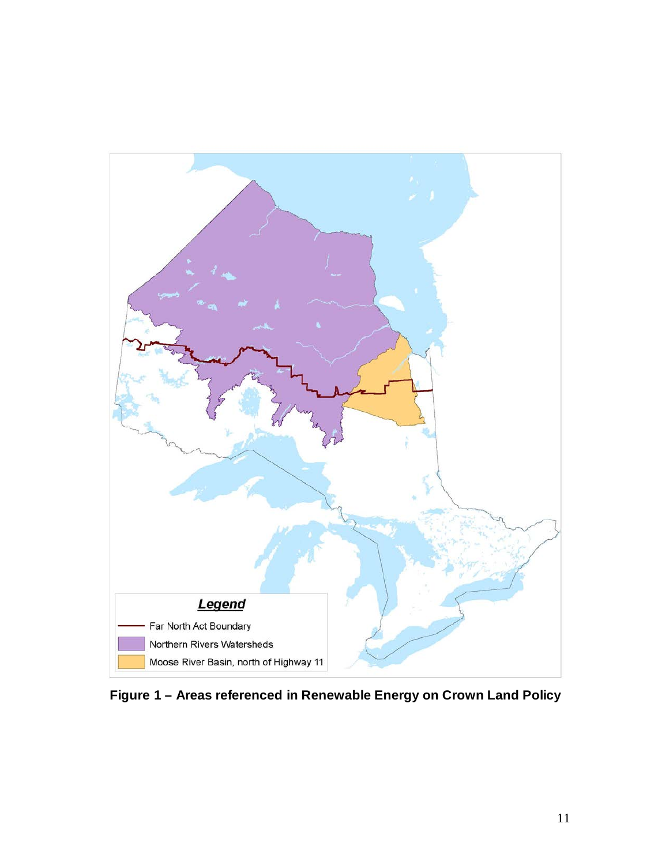

**Figure 1 – Areas referenced in Renewable Energy on Crown Land Policy**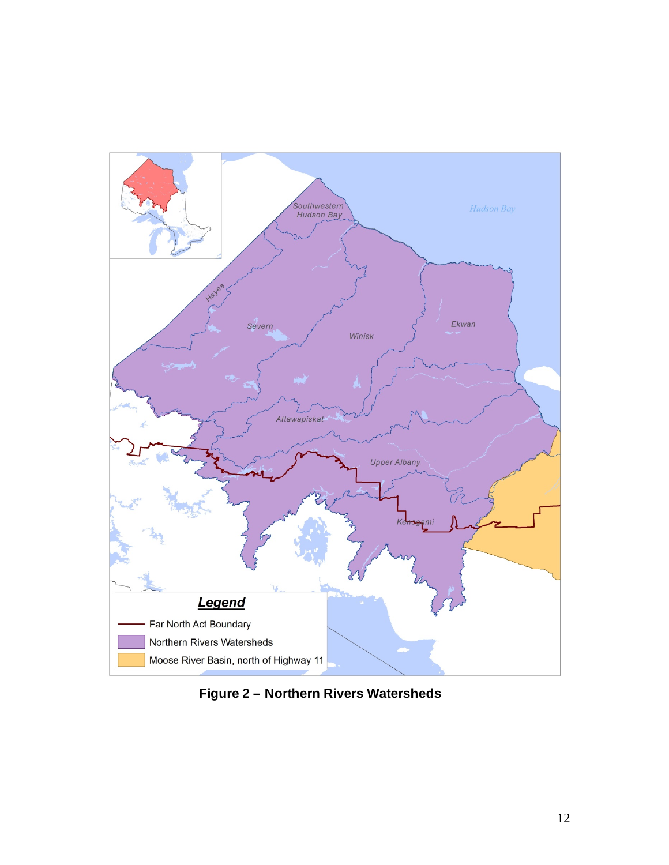

 **Figure 2 – Northern Rivers Watersheds**